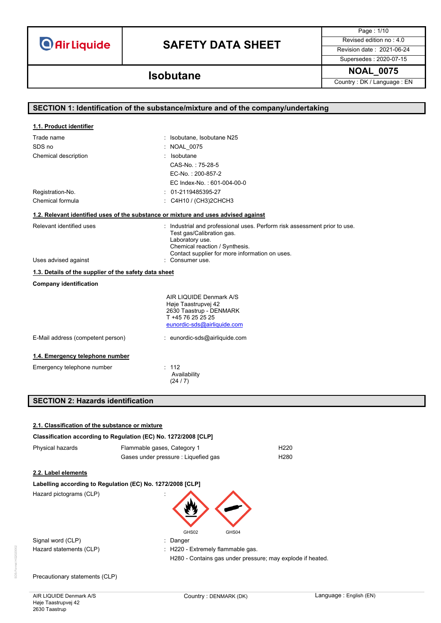# **SAFETY DATA SHEET** Revised edition no : 4.0

Page : 1/10

Supersedes : 2020-07-15

### **NOAL\_0075 Isobutane**

Country : DK / Language : EN

| SECTION 1: Identification of the substance/mixture and of the company/undertaking                                                                                                                                                                             |                                                                                                                                                                                                               |  |
|---------------------------------------------------------------------------------------------------------------------------------------------------------------------------------------------------------------------------------------------------------------|---------------------------------------------------------------------------------------------------------------------------------------------------------------------------------------------------------------|--|
| 1.1. Product identifier                                                                                                                                                                                                                                       |                                                                                                                                                                                                               |  |
| Trade name                                                                                                                                                                                                                                                    | : Isobutane, Isobutane N25                                                                                                                                                                                    |  |
| SDS no                                                                                                                                                                                                                                                        | <b>NOAL 0075</b>                                                                                                                                                                                              |  |
| Chemical description                                                                                                                                                                                                                                          | : Isobutane                                                                                                                                                                                                   |  |
|                                                                                                                                                                                                                                                               | CAS-No.: 75-28-5                                                                                                                                                                                              |  |
|                                                                                                                                                                                                                                                               | EC-No.: 200-857-2                                                                                                                                                                                             |  |
|                                                                                                                                                                                                                                                               | EC Index-No.: 601-004-00-0                                                                                                                                                                                    |  |
| Registration-No.                                                                                                                                                                                                                                              | $: 01-2119485395-27$                                                                                                                                                                                          |  |
| Chemical formula                                                                                                                                                                                                                                              | : C4H10 / (CH3)2CHCH3                                                                                                                                                                                         |  |
|                                                                                                                                                                                                                                                               | 1.2. Relevant identified uses of the substance or mixture and uses advised against                                                                                                                            |  |
| Relevant identified uses                                                                                                                                                                                                                                      | : Industrial and professional uses. Perform risk assessment prior to use.<br>Test gas/Calibration gas.<br>Laboratory use.<br>Chemical reaction / Synthesis.<br>Contact supplier for more information on uses. |  |
| Uses advised against                                                                                                                                                                                                                                          | : Consumer use.                                                                                                                                                                                               |  |
| 1.3. Details of the supplier of the safety data sheet                                                                                                                                                                                                         |                                                                                                                                                                                                               |  |
| <b>Company identification</b>                                                                                                                                                                                                                                 |                                                                                                                                                                                                               |  |
|                                                                                                                                                                                                                                                               | AIR LIQUIDE Denmark A/S<br>Høje Taastrupvej 42<br>2630 Taastrup - DENMARK<br>T +45 76 25 25 25<br>eunordic-sds@airliquide.com                                                                                 |  |
| E-Mail address (competent person)                                                                                                                                                                                                                             | : eunordic-sds@airliquide.com                                                                                                                                                                                 |  |
| 1.4. Emergency telephone number                                                                                                                                                                                                                               |                                                                                                                                                                                                               |  |
| Emergency telephone number                                                                                                                                                                                                                                    | : 112<br>Availability<br>(24/7)                                                                                                                                                                               |  |
| $A = A = (A \cup A \cup A)$<br>and the second contract of the second contract of the second contract of the second second terms of the second second and second the second second and second the second second and second the second second second second and |                                                                                                                                                                                                               |  |

### **SECTION 2: Hazards identification**

| 2.1. Classification of the substance or mixture |                                                                 |                                                            |
|-------------------------------------------------|-----------------------------------------------------------------|------------------------------------------------------------|
|                                                 | Classification according to Regulation (EC) No. 1272/2008 [CLP] |                                                            |
| Physical hazards                                | Flammable gases, Category 1                                     | H <sub>220</sub>                                           |
|                                                 | Gases under pressure : Liquefied gas                            | H <sub>280</sub>                                           |
| 2.2. Label elements                             |                                                                 |                                                            |
|                                                 | Labelling according to Regulation (EC) No. 1272/2008 [CLP]      |                                                            |
| Hazard pictograms (CLP)                         |                                                                 |                                                            |
|                                                 | GHS02<br>GHS04                                                  |                                                            |
| Signal word (CLP)                               | Danger                                                          |                                                            |
| Hazard statements (CLP)                         | : H220 - Extremely flammable gas.                               |                                                            |
|                                                 |                                                                 | H280 - Contains gas under pressure; may explode if heated. |
| Precautionary statements (CLP)                  |                                                                 |                                                            |

SDS-Format HG2020002

SDS-Format HG20200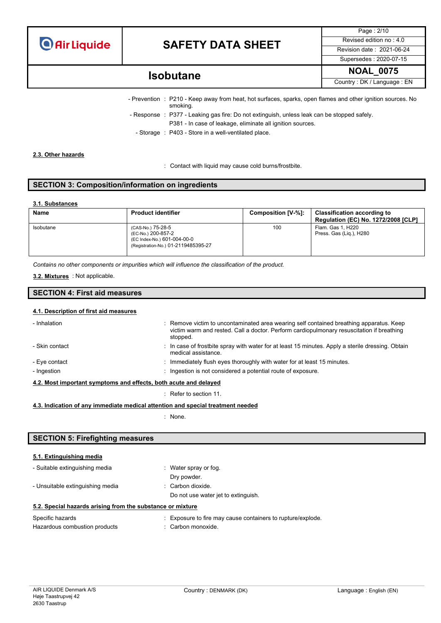

Page : 2/10 Supersedes : 2020-07-15

### **NOAL\_0075 Isobutane**

Country : DK / Language : EN

- Prevention : P210 Keep away from heat, hot surfaces, sparks, open flames and other ignition sources. No smoking. - Response : P377 - Leaking gas fire: Do not extinguish, unless leak can be stopped safely. P381 - In case of leakage, eliminate all ignition sources.
	- Storage : P403 Store in a well-ventilated place.

#### **2.3. Other hazards**

: Contact with liquid may cause cold burns/frostbite.

#### **SECTION 3: Composition/information on ingredients**

#### **3.1. Substances**

| <b>Name</b> | <b>Product identifier</b>                                                                                     | Composition [V-%]: | <b>Classification according to</b><br><b>Regulation (EC) No. 1272/2008 [CLP]</b> |
|-------------|---------------------------------------------------------------------------------------------------------------|--------------------|----------------------------------------------------------------------------------|
| Isobutane   | (CAS-No.) 75-28-5<br>(EC-No.) 200-857-2<br>(EC Index-No.) 601-004-00-0<br>(Registration-No.) 01-2119485395-27 | 100                | Flam. Gas 1, H220<br>Press. Gas (Lig.), H280                                     |

*Contains no other components or impurities which will influence the classification of the product.*

#### : Not applicable. **3.2. Mixtures**

#### **SECTION 4: First aid measures**

#### **4.1. Description of first aid measures**

| - Inhalation                                                     | : Remove victim to uncontaminated area wearing self contained breathing apparatus. Keep<br>victim warm and rested. Call a doctor. Perform cardiopulmonary resuscitation if breathing<br>stopped. |  |
|------------------------------------------------------------------|--------------------------------------------------------------------------------------------------------------------------------------------------------------------------------------------------|--|
| - Skin contact                                                   | : In case of frostbite spray with water for at least 15 minutes. Apply a sterile dressing. Obtain<br>medical assistance.                                                                         |  |
| - Eye contact                                                    | $\therefore$ Immediately flush eyes thoroughly with water for at least 15 minutes.                                                                                                               |  |
| - Ingestion                                                      | : Ingestion is not considered a potential route of exposure.                                                                                                                                     |  |
| 4.2. Most important symptoms and effects, both acute and delayed |                                                                                                                                                                                                  |  |

: Refer to section 11.

**4.3. Indication of any immediate medical attention and special treatment needed**

: None.

#### **SECTION 5: Firefighting measures**

#### **5.1. Extinguishing media**

| E.O. On each later and a substant from the authority of an interior |                                     |
|---------------------------------------------------------------------|-------------------------------------|
|                                                                     | Do not use water jet to extinguish. |
| - Unsuitable extinguishing media                                    | $\therefore$ Carbon dioxide.        |
|                                                                     | Dry powder.                         |
| - Suitable extinguishing media                                      | Water spray or fog.                 |

#### **5.2. Special hazards arising from the substance or mixture**

| Specific hazards              | : Exposure to fire may cause containers to rupture/explode. |
|-------------------------------|-------------------------------------------------------------|
| Hazardous combustion products | : Carbon monoxide.                                          |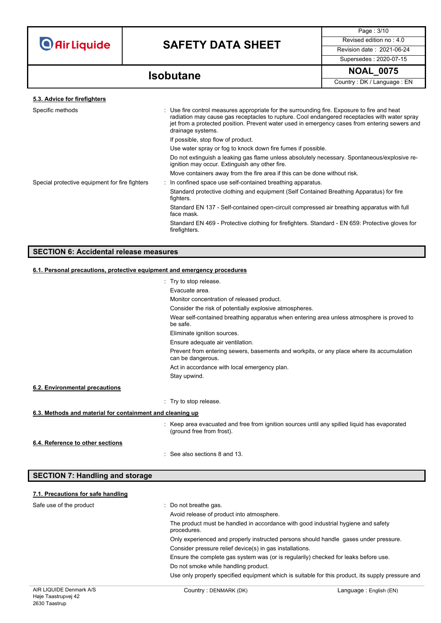

Page : 3/10 Supersedes : 2020-07-15

**NOAL\_0075 Isobutane**

Country : DK / Language : EN

| 5.3. Advice for firefighters                   |                                                                                                                                                                                                                                                                                                                   |
|------------------------------------------------|-------------------------------------------------------------------------------------------------------------------------------------------------------------------------------------------------------------------------------------------------------------------------------------------------------------------|
| Specific methods                               | : Use fire control measures appropriate for the surrounding fire. Exposure to fire and heat<br>radiation may cause gas receptacles to rupture. Cool endangered receptacles with water spray<br>jet from a protected position. Prevent water used in emergency cases from entering sewers and<br>drainage systems. |
|                                                | If possible, stop flow of product.                                                                                                                                                                                                                                                                                |
|                                                | Use water spray or fog to knock down fire fumes if possible.                                                                                                                                                                                                                                                      |
|                                                | Do not extinguish a leaking gas flame unless absolutely necessary. Spontaneous/explosive re-<br>ignition may occur. Extinguish any other fire.                                                                                                                                                                    |
|                                                | Move containers away from the fire area if this can be done without risk.                                                                                                                                                                                                                                         |
| Special protective equipment for fire fighters | : In confined space use self-contained breathing apparatus.                                                                                                                                                                                                                                                       |
|                                                | Standard protective clothing and equipment (Self Contained Breathing Apparatus) for fire<br>fighters.                                                                                                                                                                                                             |
|                                                | Standard EN 137 - Self-contained open-circuit compressed air breathing apparatus with full<br>face mask.                                                                                                                                                                                                          |
|                                                | Standard EN 469 - Protective clothing for firefighters. Standard - EN 659: Protective gloves for<br>firefighters.                                                                                                                                                                                                 |
|                                                |                                                                                                                                                                                                                                                                                                                   |

### **SECTION 6: Accidental release measures**

### **6.1. Personal precautions, protective equipment and emergency procedures**

|                                                           | : Try to stop release.                                                                                                    |
|-----------------------------------------------------------|---------------------------------------------------------------------------------------------------------------------------|
|                                                           | Evacuate area.                                                                                                            |
|                                                           | Monitor concentration of released product.                                                                                |
|                                                           | Consider the risk of potentially explosive atmospheres.                                                                   |
|                                                           | Wear self-contained breathing apparatus when entering area unless atmosphere is proved to<br>be safe.                     |
|                                                           | Eliminate ignition sources.                                                                                               |
|                                                           | Ensure adequate air ventilation.                                                                                          |
|                                                           | Prevent from entering sewers, basements and workpits, or any place where its accumulation<br>can be dangerous.            |
|                                                           | Act in accordance with local emergency plan.                                                                              |
|                                                           | Stay upwind.                                                                                                              |
| 6.2. Environmental precautions                            |                                                                                                                           |
|                                                           | : Try to stop release.                                                                                                    |
| 6.3. Methods and material for containment and cleaning up |                                                                                                                           |
|                                                           | : Keep area evacuated and free from ignition sources until any spilled liquid has evaporated<br>(ground free from frost). |
| 6.4. Reference to other sections                          |                                                                                                                           |
|                                                           | $\therefore$ See also sections 8 and 13.                                                                                  |

| <b>SECTION 7: Handling and storage</b> |                                                                                                  |
|----------------------------------------|--------------------------------------------------------------------------------------------------|
| 7.1. Precautions for safe handling     |                                                                                                  |
| Safe use of the product                | : Do not breathe gas.                                                                            |
|                                        | Avoid release of product into atmosphere.                                                        |
|                                        | The product must be handled in accordance with good industrial hygiene and safety<br>procedures. |
|                                        | Only experienced and properly instructed persons should handle gases under pressure.             |
|                                        | Consider pressure relief device(s) in gas installations.                                         |
|                                        | Engura the complete gen overlap was (er is requieriby) obsolved for looks before use             |

e the complete gas system was (or is regularily) checked for leaks before use.

Do not smoke while handling product.

Use only properly specified equipment which is suitable for this product, its supply pressure and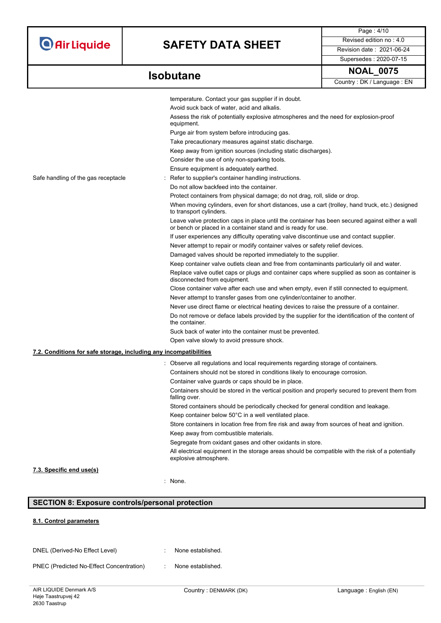# **SAFETY DATA SHEET** Revised edition no : 4.0

Page : 4/10 Supersedes : 2020-07-15

### **Isobutane**

| OAL<br>-07<br>76 |
|------------------|
|------------------|

Country : DK / Language : EN

|                                                                   | temperature. Contact your gas supplier if in doubt.                                                                                                              |
|-------------------------------------------------------------------|------------------------------------------------------------------------------------------------------------------------------------------------------------------|
|                                                                   | Avoid suck back of water, acid and alkalis.                                                                                                                      |
|                                                                   | Assess the risk of potentially explosive atmospheres and the need for explosion-proof                                                                            |
|                                                                   | equipment.                                                                                                                                                       |
|                                                                   | Purge air from system before introducing gas.                                                                                                                    |
|                                                                   | Take precautionary measures against static discharge.                                                                                                            |
|                                                                   | Keep away from ignition sources (including static discharges).                                                                                                   |
|                                                                   | Consider the use of only non-sparking tools.                                                                                                                     |
|                                                                   | Ensure equipment is adequately earthed.                                                                                                                          |
| Safe handling of the gas receptacle                               | Refer to supplier's container handling instructions.                                                                                                             |
|                                                                   | Do not allow backfeed into the container.                                                                                                                        |
|                                                                   | Protect containers from physical damage; do not drag, roll, slide or drop.                                                                                       |
|                                                                   | When moving cylinders, even for short distances, use a cart (trolley, hand truck, etc.) designed<br>to transport cylinders.                                      |
|                                                                   | Leave valve protection caps in place until the container has been secured against either a wall<br>or bench or placed in a container stand and is ready for use. |
|                                                                   | If user experiences any difficulty operating valve discontinue use and contact supplier.                                                                         |
|                                                                   | Never attempt to repair or modify container valves or safety relief devices.                                                                                     |
|                                                                   | Damaged valves should be reported immediately to the supplier.                                                                                                   |
|                                                                   | Keep container valve outlets clean and free from contaminants particularly oil and water.                                                                        |
|                                                                   | Replace valve outlet caps or plugs and container caps where supplied as soon as container is<br>disconnected from equipment.                                     |
|                                                                   | Close container valve after each use and when empty, even if still connected to equipment.                                                                       |
|                                                                   | Never attempt to transfer gases from one cylinder/container to another.                                                                                          |
|                                                                   | Never use direct flame or electrical heating devices to raise the pressure of a container.                                                                       |
|                                                                   | Do not remove or deface labels provided by the supplier for the identification of the content of<br>the container.                                               |
|                                                                   | Suck back of water into the container must be prevented.                                                                                                         |
|                                                                   | Open valve slowly to avoid pressure shock.                                                                                                                       |
| 7.2. Conditions for safe storage, including any incompatibilities |                                                                                                                                                                  |
|                                                                   | Observe all regulations and local requirements regarding storage of containers.                                                                                  |
|                                                                   | Containers should not be stored in conditions likely to encourage corrosion.                                                                                     |
|                                                                   | Container valve guards or caps should be in place.                                                                                                               |
|                                                                   | Containers should be stored in the vertical position and properly secured to prevent them from<br>falling over.                                                  |
|                                                                   | Stored containers should be periodically checked for general condition and leakage.                                                                              |
|                                                                   | Keep container below 50°C in a well ventilated place.                                                                                                            |
|                                                                   | Store containers in location free from fire risk and away from sources of heat and ignition.                                                                     |
|                                                                   | Keep away from combustible materials.                                                                                                                            |
|                                                                   | Segregate from oxidant gases and other oxidants in store.                                                                                                        |
|                                                                   | All electrical equipment in the storage areas should be compatible with the risk of a potentially<br>explosive atmosphere.                                       |
| 7.3. Specific end use(s)                                          |                                                                                                                                                                  |
|                                                                   | : None.                                                                                                                                                          |

### **SECTION 8: Exposure controls/personal protection**

#### **8.1. Control parameters**

DNEL (Derived-No Effect Level) : None established.

PNEC (Predicted No-Effect Concentration) : None established.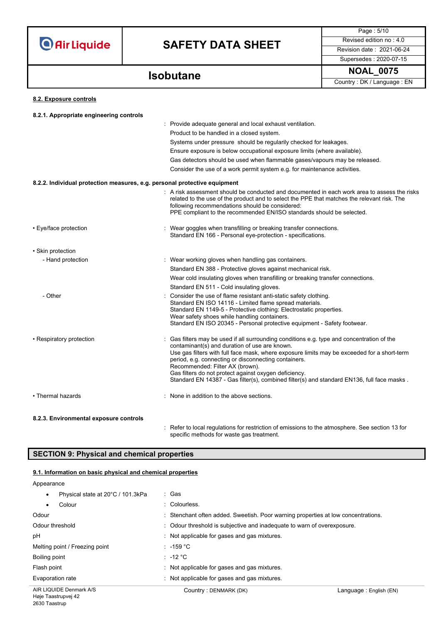

Page : 5/10 Supersedes : 2020-07-15

**NOAL\_0075 Isobutane**

Country : DK / Language : EN

#### **8.2. Exposure controls**

| 8.2.1. Appropriate engineering controls                                   |                                                                                                                                                                                                                                                                                                                         |
|---------------------------------------------------------------------------|-------------------------------------------------------------------------------------------------------------------------------------------------------------------------------------------------------------------------------------------------------------------------------------------------------------------------|
|                                                                           | : Provide adequate general and local exhaust ventilation.                                                                                                                                                                                                                                                               |
|                                                                           | Product to be handled in a closed system.                                                                                                                                                                                                                                                                               |
|                                                                           | Systems under pressure should be regularily checked for leakages.                                                                                                                                                                                                                                                       |
|                                                                           | Ensure exposure is below occupational exposure limits (where available).                                                                                                                                                                                                                                                |
|                                                                           | Gas detectors should be used when flammable gases/vapours may be released.                                                                                                                                                                                                                                              |
|                                                                           | Consider the use of a work permit system e.g. for maintenance activities.                                                                                                                                                                                                                                               |
| 8.2.2. Individual protection measures, e.g. personal protective equipment |                                                                                                                                                                                                                                                                                                                         |
|                                                                           | : A risk assessment should be conducted and documented in each work area to assess the risks<br>related to the use of the product and to select the PPE that matches the relevant risk. The<br>following recommendations should be considered:<br>PPE compliant to the recommended EN/ISO standards should be selected. |
| • Eye/face protection                                                     | : Wear goggles when transfilling or breaking transfer connections.<br>Standard EN 166 - Personal eye-protection - specifications.                                                                                                                                                                                       |
| • Skin protection                                                         |                                                                                                                                                                                                                                                                                                                         |
| - Hand protection                                                         | : Wear working gloves when handling gas containers.                                                                                                                                                                                                                                                                     |
|                                                                           | Standard EN 388 - Protective gloves against mechanical risk.                                                                                                                                                                                                                                                            |
|                                                                           | Wear cold insulating gloves when transfilling or breaking transfer connections.                                                                                                                                                                                                                                         |
|                                                                           | Standard EN 511 - Cold insulating gloves.                                                                                                                                                                                                                                                                               |
| - Other                                                                   | Consider the use of flame resistant anti-static safety clothing.                                                                                                                                                                                                                                                        |
|                                                                           | Standard EN ISO 14116 - Limited flame spread materials.<br>Standard EN 1149-5 - Protective clothing: Electrostatic properties.                                                                                                                                                                                          |
|                                                                           | Wear safety shoes while handling containers.                                                                                                                                                                                                                                                                            |
|                                                                           | Standard EN ISO 20345 - Personal protective equipment - Safety footwear.                                                                                                                                                                                                                                                |
| • Respiratory protection                                                  | Gas filters may be used if all surrounding conditions e.g. type and concentration of the                                                                                                                                                                                                                                |
|                                                                           | contaminant(s) and duration of use are known.<br>Use gas filters with full face mask, where exposure limits may be exceeded for a short-term                                                                                                                                                                            |
|                                                                           | period, e.g. connecting or disconnecting containers.                                                                                                                                                                                                                                                                    |
|                                                                           | Recommended: Filter AX (brown).<br>Gas filters do not protect against oxygen deficiency.                                                                                                                                                                                                                                |
|                                                                           | Standard EN 14387 - Gas filter(s), combined filter(s) and standard EN136, full face masks.                                                                                                                                                                                                                              |
| • Thermal hazards                                                         | : None in addition to the above sections.                                                                                                                                                                                                                                                                               |
| 8.2.3. Environmental exposure controls                                    |                                                                                                                                                                                                                                                                                                                         |

: Refer to local regulations for restriction of emissions to the atmosphere. See section 13 for specific methods for waste gas treatment.

### **SECTION 9: Physical and chemical properties**

#### **9.1. Information on basic physical and chemical properties**

Appearance

| Physical state at 20°C / 101.3kPa<br>$\bullet$ | : Gas                                                                             |                        |
|------------------------------------------------|-----------------------------------------------------------------------------------|------------------------|
| Colour<br>$\bullet$                            | : Colourless.                                                                     |                        |
| Odour                                          | : Stenchant often added. Sweetish. Poor warning properties at low concentrations. |                        |
| Odour threshold                                | : Odour threshold is subjective and inadequate to warn of overexposure.           |                        |
| рH                                             | : Not applicable for gases and gas mixtures.                                      |                        |
| Melting point / Freezing point                 | $: -159 °C$                                                                       |                        |
| Boiling point                                  | : -12 $^{\circ}$ C                                                                |                        |
| Flash point                                    | : Not applicable for gases and gas mixtures.                                      |                        |
| Evaporation rate                               | : Not applicable for gases and gas mixtures.                                      |                        |
| AIR LIQUIDE Denmark A/S                        | Country: DENMARK (DK)                                                             | Language: English (EN) |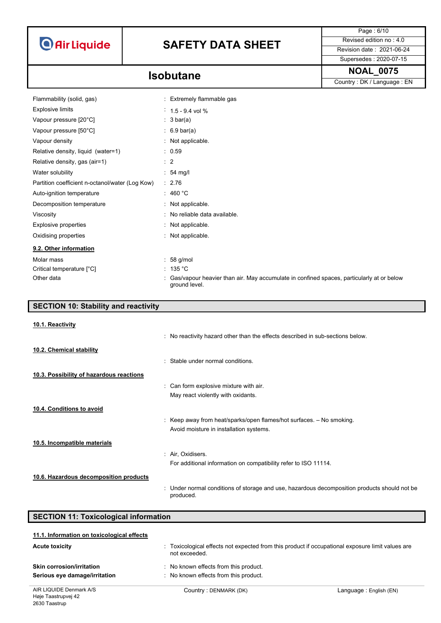# **SAFETY DATA SHEET** Revised edition no : 4.0

Supersedes : 2020-07-15

Page : 6/10

**NOAL\_0075 Isobutane**

Country : DK / Language : EN

| Flammability (solid, gas)                       | Extremely flammable gas                                                                                   |
|-------------------------------------------------|-----------------------------------------------------------------------------------------------------------|
| <b>Explosive limits</b>                         | $1.5 - 9.4$ vol %                                                                                         |
| Vapour pressure [20°C]                          | : $3 \text{ bar(a)}$                                                                                      |
| Vapour pressure [50°C]                          | $\therefore$ 6.9 bar(a)                                                                                   |
| Vapour density                                  | : Not applicable.                                                                                         |
| Relative density, liquid (water=1)              | . 0.59                                                                                                    |
| Relative density, gas (air=1)                   | $\therefore$ 2                                                                                            |
| Water solubility                                | $: 54$ mg/                                                                                                |
| Partition coefficient n-octanol/water (Log Kow) | : 2.76                                                                                                    |
| Auto-ignition temperature                       | : 460 °C                                                                                                  |
| Decomposition temperature                       | : Not applicable.                                                                                         |
| Viscosity                                       | : No reliable data available.                                                                             |
| Explosive properties                            | : Not applicable.                                                                                         |
| Oxidising properties                            | : Not applicable.                                                                                         |
| 9.2. Other information                          |                                                                                                           |
| Molar mass                                      | $: 58$ g/mol                                                                                              |
| Critical temperature [°C]                       | : 135 °C                                                                                                  |
| Other data                                      | Gas/vapour heavier than air. May accumulate in confined spaces, particularly at or below<br>ground level. |

| <b>SECTION 10: Stability and reactivity</b> |                                                                                                           |
|---------------------------------------------|-----------------------------------------------------------------------------------------------------------|
| 10.1. Reactivity                            |                                                                                                           |
|                                             | : No reactivity hazard other than the effects described in sub-sections below.                            |
| 10.2. Chemical stability                    |                                                                                                           |
|                                             | : Stable under normal conditions.                                                                         |
| 10.3. Possibility of hazardous reactions    |                                                                                                           |
|                                             | : Can form explosive mixture with air.                                                                    |
|                                             | May react violently with oxidants.                                                                        |
| 10.4. Conditions to avoid                   |                                                                                                           |
|                                             | : Keep away from heat/sparks/open flames/hot surfaces. $-$ No smoking.                                    |
|                                             | Avoid moisture in installation systems.                                                                   |
| 10.5. Incompatible materials                |                                                                                                           |
|                                             | : Air, Oxidisers.                                                                                         |
|                                             | For additional information on compatibility refer to ISO 11114.                                           |
| 10.6. Hazardous decomposition products      |                                                                                                           |
|                                             | : Under normal conditions of storage and use, hazardous decomposition products should not be<br>produced. |

| <b>SECTION 11: Toxicological information</b> |                                                                                                |                         |  |  |
|----------------------------------------------|------------------------------------------------------------------------------------------------|-------------------------|--|--|
| 11.1. Information on toxicological effects   |                                                                                                |                         |  |  |
| <b>Acute toxicity</b>                        | Toxicological effects not expected from this product if occupational exposure limit values are |                         |  |  |
|                                              | not exceeded                                                                                   |                         |  |  |
| <b>Skin corrosion/irritation</b>             | No known effects from this product.                                                            |                         |  |  |
| Serious eye damage/irritation                | No known effects from this product.                                                            |                         |  |  |
| AIR LIQUIDE Denmark A/S                      | Country: DENMARK (DK)                                                                          | Language : English (EN) |  |  |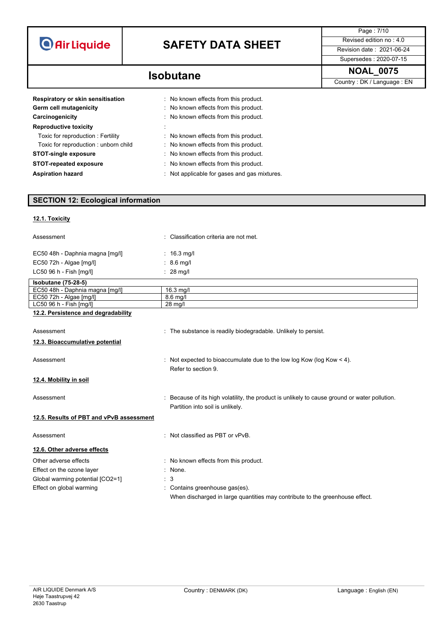

Page : 7/10 Supersedes : 2020-07-15

**NOAL\_0075 Isobutane** Country : DK / Language : EN

| Respiratory or skin sensitisation    | : No known effects from this product.        |
|--------------------------------------|----------------------------------------------|
| Germ cell mutagenicity               | : No known effects from this product.        |
| Carcinogenicity                      | : No known effects from this product.        |
| <b>Reproductive toxicity</b>         | ÷                                            |
| Toxic for reproduction : Fertility   | No known effects from this product.          |
| Toxic for reproduction: unborn child | : No known effects from this product.        |
| <b>STOT-single exposure</b>          | : No known effects from this product.        |
| <b>STOT-repeated exposure</b>        | : No known effects from this product.        |
| <b>Aspiration hazard</b>             | : Not applicable for gases and gas mixtures. |

### **SECTION 12: Ecological information**

#### **12.1. Toxicity**

| Assessment                               | : Classification criteria are not met.                                                                                            |
|------------------------------------------|-----------------------------------------------------------------------------------------------------------------------------------|
| EC50 48h - Daphnia magna [mg/l]          | : $16.3 \text{ mg/l}$                                                                                                             |
| EC50 72h - Algae [mg/l]                  | $: 8.6$ mg/l                                                                                                                      |
| LC50 96 h - Fish [mg/l]                  | $: 28$ mg/                                                                                                                        |
| <b>Isobutane</b> (75-28-5)               |                                                                                                                                   |
| EC50 48h - Daphnia magna [mg/l]          | 16.3 mg/l                                                                                                                         |
| EC50 72h - Algae [mg/l]                  | 8.6 mg/l                                                                                                                          |
| LC50 96 h - Fish [mg/l]                  | 28 mg/l                                                                                                                           |
| 12.2. Persistence and degradability      |                                                                                                                                   |
| Assessment                               | : The substance is readily biodegradable. Unlikely to persist.                                                                    |
| 12.3. Bioaccumulative potential          |                                                                                                                                   |
| Assessment                               | : Not expected to bioaccumulate due to the low log Kow (log Kow $<$ 4).<br>Refer to section 9.                                    |
| 12.4. Mobility in soil                   |                                                                                                                                   |
| Assessment                               | : Because of its high volatility, the product is unlikely to cause ground or water pollution.<br>Partition into soil is unlikely. |
| 12.5. Results of PBT and vPvB assessment |                                                                                                                                   |
| Assessment                               | : Not classified as PBT or vPvB.                                                                                                  |
| 12.6. Other adverse effects              |                                                                                                                                   |
| Other adverse effects                    | : No known effects from this product.                                                                                             |
| Effect on the ozone layer                | : None.                                                                                                                           |
| Global warming potential [CO2=1]         | 3                                                                                                                                 |
| Effect on global warming                 | : Contains greenhouse gas(es).                                                                                                    |
|                                          |                                                                                                                                   |
|                                          | When discharged in large quantities may contribute to the greenhouse effect.                                                      |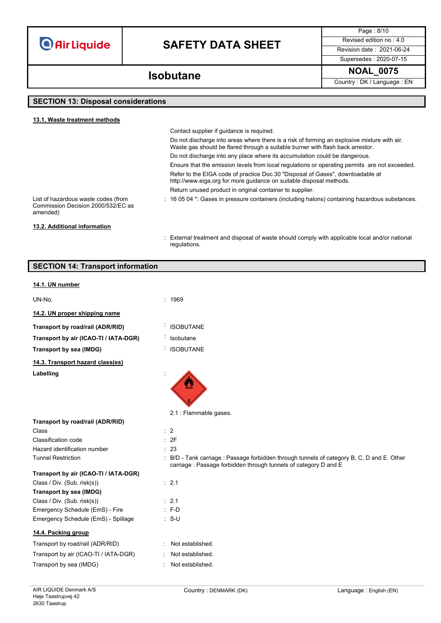# **SAFETY DATA SHEET** Revised edition no : 4.0

Page : 8/10 Supersedes : 2020-07-15

### **NOAL\_0075 Isobutane**

Country : DK / Language : EN

### **SECTION 13: Disposal considerations**

**SECTION 14: Transport information**

| 13.1. Waste treatment methods                                                         |                                                                                                                                                                               |
|---------------------------------------------------------------------------------------|-------------------------------------------------------------------------------------------------------------------------------------------------------------------------------|
|                                                                                       | Contact supplier if guidance is required.                                                                                                                                     |
|                                                                                       | Do not discharge into areas where there is a risk of forming an explosive mixture with air.<br>Waste gas should be flared through a suitable burner with flash back arrestor. |
|                                                                                       | Do not discharge into any place where its accumulation could be dangerous.                                                                                                    |
|                                                                                       | Ensure that the emission levels from local regulations or operating permits are not exceeded.                                                                                 |
|                                                                                       | Refer to the EIGA code of practice Doc.30 "Disposal of Gases", downloadable at<br>http://www.eiga.org for more guidance on suitable disposal methods.                         |
|                                                                                       | Return unused product in original container to supplier.                                                                                                                      |
| List of hazardous waste codes (from<br>Commission Decision 2000/532/EC as<br>amended) | $\pm$ 16 05 04 $^{\star}$ . Gases in pressure containers (including halons) containing hazardous substances.                                                                  |
| 13.2. Additional information                                                          |                                                                                                                                                                               |
|                                                                                       | External treatment and disposal of waste should comply with applicable local and/or national<br>regulations.                                                                  |

| 14.1. UN number                       |                                                                                                                                                                |
|---------------------------------------|----------------------------------------------------------------------------------------------------------------------------------------------------------------|
| UN-No.                                | : 1969                                                                                                                                                         |
| 14.2. UN proper shipping name         |                                                                                                                                                                |
| Transport by road/rail (ADR/RID)      | <b>ISOBUTANE</b>                                                                                                                                               |
| Transport by air (ICAO-TI / IATA-DGR) | Isobutane                                                                                                                                                      |
| Transport by sea (IMDG)               | <b>ISOBUTANE</b>                                                                                                                                               |
| 14.3. Transport hazard class(es)      |                                                                                                                                                                |
| Labelling                             |                                                                                                                                                                |
|                                       | 2.1 : Flammable gases.                                                                                                                                         |
| Transport by road/rail (ADR/RID)      |                                                                                                                                                                |
| Class                                 | $\therefore$ 2                                                                                                                                                 |
| Classification code                   | : 2F                                                                                                                                                           |
| Hazard identification number          | : 23                                                                                                                                                           |
| <b>Tunnel Restriction</b>             | : B/D - Tank carriage : Passage forbidden through tunnels of category B, C, D and E. Other<br>carriage : Passage forbidden through tunnels of category D and E |
| Transport by air (ICAO-TI / IATA-DGR) |                                                                                                                                                                |
| Class / Div. (Sub. risk(s))           | : 2.1                                                                                                                                                          |
| Transport by sea (IMDG)               |                                                                                                                                                                |
| Class / Div. (Sub. risk(s))           | $\therefore$ 2.1                                                                                                                                               |
| Emergency Schedule (EmS) - Fire       | $: F-D$                                                                                                                                                        |
| Emergency Schedule (EmS) - Spillage   | $: S-U$                                                                                                                                                        |
| 14.4. Packing group                   |                                                                                                                                                                |
| Transport by road/rail (ADR/RID)      | Not established.                                                                                                                                               |
| Transport by air (ICAO-TI / IATA-DGR) | Not established.                                                                                                                                               |
| Transport by sea (IMDG)               | Not established.                                                                                                                                               |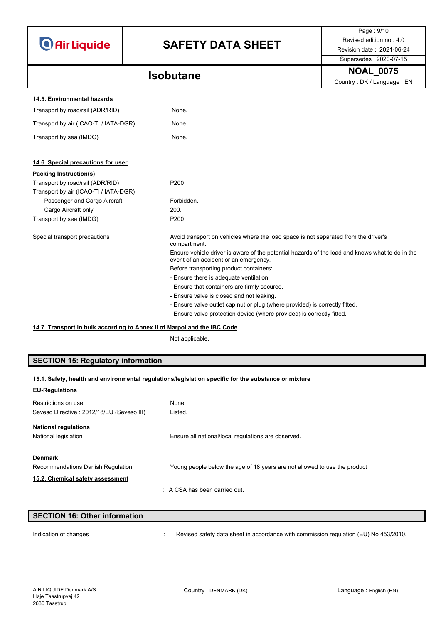|                                       |                                                                                                                                          | Page: 9/10                                                                  |  |  |
|---------------------------------------|------------------------------------------------------------------------------------------------------------------------------------------|-----------------------------------------------------------------------------|--|--|
|                                       |                                                                                                                                          | Revised edition no: 4.0                                                     |  |  |
| <b>O</b> Air Liquide                  | <b>SAFETY DATA SHEET</b>                                                                                                                 | Revision date: 2021-06-24                                                   |  |  |
|                                       |                                                                                                                                          | Supersedes: 2020-07-15                                                      |  |  |
|                                       | <b>Isobutane</b>                                                                                                                         | <b>NOAL_0075</b>                                                            |  |  |
|                                       |                                                                                                                                          | Country: DK / Language: EN                                                  |  |  |
| 14.5. Environmental hazards           |                                                                                                                                          |                                                                             |  |  |
| Transport by road/rail (ADR/RID)      | None.                                                                                                                                    |                                                                             |  |  |
| Transport by air (ICAO-TI / IATA-DGR) | None.                                                                                                                                    |                                                                             |  |  |
| Transport by sea (IMDG)               | : None.                                                                                                                                  |                                                                             |  |  |
| 14.6. Special precautions for user    |                                                                                                                                          |                                                                             |  |  |
| <b>Packing Instruction(s)</b>         |                                                                                                                                          |                                                                             |  |  |
| Transport by road/rail (ADR/RID)      | : P200                                                                                                                                   |                                                                             |  |  |
| Transport by air (ICAO-TI / IATA-DGR) |                                                                                                                                          |                                                                             |  |  |
| Passenger and Cargo Aircraft          | · Forbidden                                                                                                                              |                                                                             |  |  |
| Cargo Aircraft only                   | 200.                                                                                                                                     |                                                                             |  |  |
| Transport by sea (IMDG)               | : P200                                                                                                                                   |                                                                             |  |  |
| Special transport precautions         | : Avoid transport on vehicles where the load space is not separated from the driver's<br>compartment.                                    |                                                                             |  |  |
|                                       | Ensure vehicle driver is aware of the potential hazards of the load and knows what to do in the<br>event of an accident or an emergency. |                                                                             |  |  |
|                                       | Before transporting product containers:                                                                                                  |                                                                             |  |  |
|                                       | - Ensure there is adequate ventilation.                                                                                                  |                                                                             |  |  |
|                                       | - Ensure that containers are firmly secured.                                                                                             |                                                                             |  |  |
|                                       | - Ensure valve is closed and not leaking.                                                                                                |                                                                             |  |  |
|                                       |                                                                                                                                          | - Ensure valve outlet cap nut or plug (where provided) is correctly fitted. |  |  |
|                                       | - Ensure valve protection device (where provided) is correctly fitted.                                                                   |                                                                             |  |  |

#### **14.7. Transport in bulk according to Annex II of Marpol and the IBC Code**

: Not applicable.

### **SECTION 15: Regulatory information**

|  | 15.1. Safety, health and environmental regulations/legislation specific for the substance or mixture |  |  |  |
|--|------------------------------------------------------------------------------------------------------|--|--|--|
|  |                                                                                                      |  |  |  |

| <b>EU-Regulations</b>                     |                                                                             |
|-------------------------------------------|-----------------------------------------------------------------------------|
| Restrictions on use                       | : None.                                                                     |
| Seveso Directive: 2012/18/EU (Seveso III) | : Listed.                                                                   |
| <b>National regulations</b>               |                                                                             |
| National legislation                      | : Ensure all national/local regulations are observed.                       |
| <b>Denmark</b>                            |                                                                             |
| Recommendations Danish Regulation         | : Young people below the age of 18 years are not allowed to use the product |
| 15.2. Chemical safety assessment          |                                                                             |
|                                           | $\therefore$ A CSA has been carried out.                                    |

| <b>SECTION 16: Other information</b> |                                                                                      |
|--------------------------------------|--------------------------------------------------------------------------------------|
|                                      |                                                                                      |
| Indication of changes                | Revised safety data sheet in accordance with commission regulation (EU) No 453/2010. |